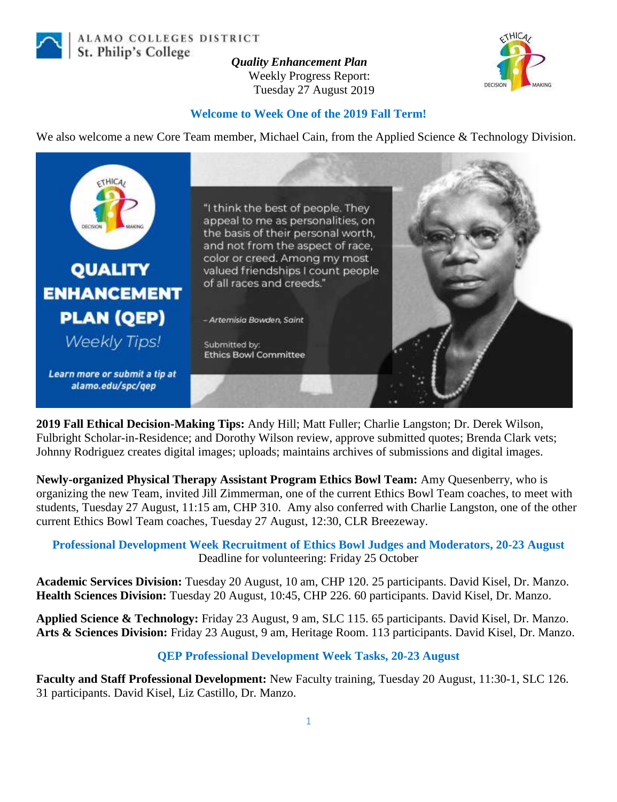

ALAMO COLLEGES DISTRICT St. Philip's College

*Quality Enhancement Plan* Weekly Progress Report: Tuesday 27 August 2019



## **Welcome to Week One of the 2019 Fall Term!**

We also welcome a new Core Team member, Michael Cain, from the Applied Science & Technology Division.



**2019 Fall Ethical Decision-Making Tips:** Andy Hill; Matt Fuller; Charlie Langston; Dr. Derek Wilson, Fulbright Scholar-in-Residence; and Dorothy Wilson review, approve submitted quotes; Brenda Clark vets; Johnny Rodriguez creates digital images; uploads; maintains archives of submissions and digital images.

**Newly-organized Physical Therapy Assistant Program Ethics Bowl Team:** Amy Quesenberry, who is organizing the new Team, invited Jill Zimmerman, one of the current Ethics Bowl Team coaches, to meet with students, Tuesday 27 August, 11:15 am, CHP 310. Amy also conferred with Charlie Langston, one of the other current Ethics Bowl Team coaches, Tuesday 27 August, 12:30, CLR Breezeway.

## **Professional Development Week Recruitment of Ethics Bowl Judges and Moderators, 20-23 August** Deadline for volunteering: Friday 25 October

**Academic Services Division:** Tuesday 20 August, 10 am, CHP 120. 25 participants. David Kisel, Dr. Manzo. **Health Sciences Division:** Tuesday 20 August, 10:45, CHP 226. 60 participants. David Kisel, Dr. Manzo.

**Applied Science & Technology:** Friday 23 August, 9 am, SLC 115. 65 participants. David Kisel, Dr. Manzo. **Arts & Sciences Division:** Friday 23 August, 9 am, Heritage Room. 113 participants. David Kisel, Dr. Manzo.

## **QEP Professional Development Week Tasks, 20-23 August**

**Faculty and Staff Professional Development:** New Faculty training, Tuesday 20 August, 11:30-1, SLC 126. 31 participants. David Kisel, Liz Castillo, Dr. Manzo.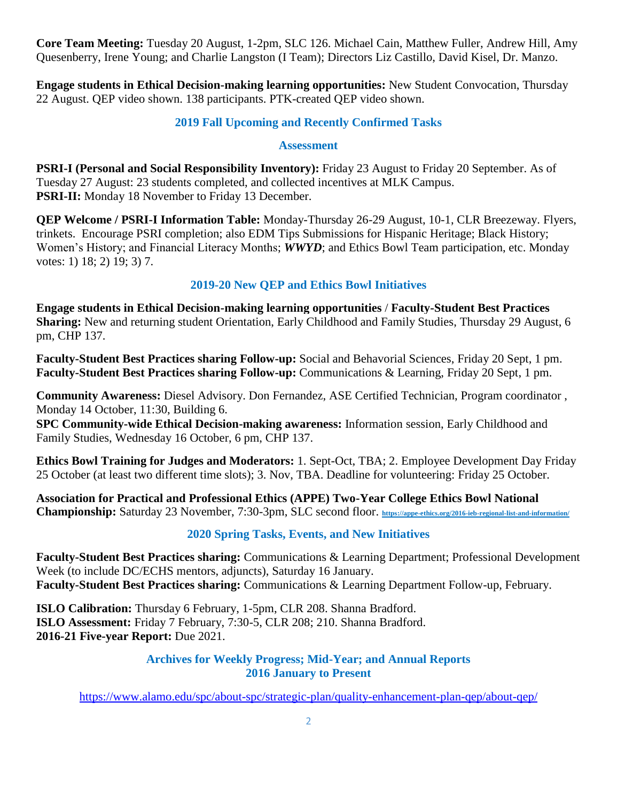**Core Team Meeting:** Tuesday 20 August, 1-2pm, SLC 126. Michael Cain, Matthew Fuller, Andrew Hill, Amy Quesenberry, Irene Young; and Charlie Langston (I Team); Directors Liz Castillo, David Kisel, Dr. Manzo.

**Engage students in Ethical Decision-making learning opportunities:** New Student Convocation, Thursday 22 August. QEP video shown. 138 participants. PTK-created QEP video shown.

# **2019 Fall Upcoming and Recently Confirmed Tasks**

## **Assessment**

**PSRI-I (Personal and Social Responsibility Inventory):** Friday 23 August to Friday 20 September. As of Tuesday 27 August: 23 students completed, and collected incentives at MLK Campus. **PSRI-II:** Monday 18 November to Friday 13 December.

**QEP Welcome / PSRI-I Information Table:** Monday-Thursday 26-29 August, 10-1, CLR Breezeway. Flyers, trinkets. Encourage PSRI completion; also EDM Tips Submissions for Hispanic Heritage; Black History; Women's History; and Financial Literacy Months; *WWYD*; and Ethics Bowl Team participation, etc. Monday votes: 1) 18; 2) 19; 3) 7.

# **2019-20 New QEP and Ethics Bowl Initiatives**

**Engage students in Ethical Decision-making learning opportunities** / **Faculty-Student Best Practices Sharing:** New and returning student Orientation, Early Childhood and Family Studies, Thursday 29 August, 6 pm, CHP 137.

**Faculty-Student Best Practices sharing Follow-up:** Social and Behavorial Sciences, Friday 20 Sept, 1 pm. **Faculty-Student Best Practices sharing Follow-up:** Communications & Learning, Friday 20 Sept, 1 pm.

**Community Awareness:** Diesel Advisory. Don Fernandez, ASE Certified Technician, Program coordinator , Monday 14 October, 11:30, Building 6.

**SPC Community-wide Ethical Decision-making awareness:** Information session, Early Childhood and Family Studies, Wednesday 16 October, 6 pm, CHP 137.

**Ethics Bowl Training for Judges and Moderators:** 1. Sept-Oct, TBA; 2. Employee Development Day Friday 25 October (at least two different time slots); 3. Nov, TBA. Deadline for volunteering: Friday 25 October.

**Association for Practical and Professional Ethics (APPE) Two-Year College Ethics Bowl National Championship:** Saturday 23 November, 7:30-3pm, SLC second floor. **<https://appe-ethics.org/2016-ieb-regional-list-and-information/>**

# **2020 Spring Tasks, Events, and New Initiatives**

**Faculty-Student Best Practices sharing:** Communications & Learning Department; Professional Development Week (to include DC/ECHS mentors, adjuncts), Saturday 16 January. **Faculty-Student Best Practices sharing:** Communications & Learning Department Follow-up, February.

**ISLO Calibration:** Thursday 6 February, 1-5pm, CLR 208. Shanna Bradford. **ISLO Assessment:** Friday 7 February, 7:30-5, CLR 208; 210. Shanna Bradford. **2016-21 Five-year Report:** Due 2021.

## **Archives for Weekly Progress; Mid-Year; and Annual Reports 2016 January to Present**

<https://www.alamo.edu/spc/about-spc/strategic-plan/quality-enhancement-plan-qep/about-qep/>